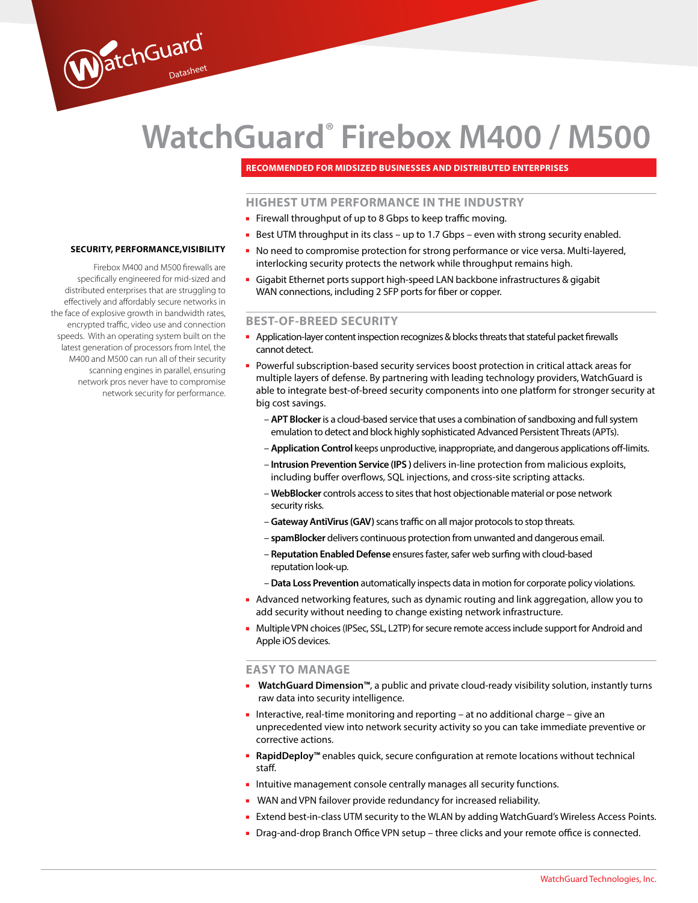# **WatchGuard® Firebox M400 / M500**

**Recommended for midsized businesses and distributed enterprises**

## **HIGHEST UTM PERFORMANCE IN THE INDUSTRY**

- Firewall throughput of up to 8 Gbps to keep traffic moving.
- Best UTM throughput in its class up to 1.7 Gbps even with strong security enabled.
- No need to compromise protection for strong performance or vice versa. Multi-layered, interlocking security protects the network while throughput remains high.
- Gigabit Ethernet ports support high-speed LAN backbone infrastructures & gigabit WAN connections, including 2 SFP ports for fiber or copper.

## **BEST-OF-BREED SECURITY**

- Application-layer content inspection recognizes & blocks threats that stateful packet firewalls cannot detect.
- Powerful subscription-based security services boost protection in critical attack areas for multiple layers of defense. By partnering with leading technology providers, WatchGuard is able to integrate best-of-breed security components into one platform for stronger security at big cost savings.
	- **APT Blocker** is a cloud-based service that uses a combination of sandboxing and full system emulation to detect and block highly sophisticated Advanced Persistent Threats (APTs).
	- **Application Control** keeps unproductive, inappropriate, and dangerous applications off-limits.
	- **Intrusion Prevention Service (IPS )** delivers in-line protection from malicious exploits, including buffer overflows, SQL injections, and cross-site scripting attacks.
	- **WebBlocker** controls access to sites that host objectionable material or pose network security risks.
	- **Gateway AntiVirus (GAV)** scans traffic on all major protocols to stop threats.
	- **spamBlocker** delivers continuous protection from unwanted and dangerous email.
	- **Reputation Enabled Defense** ensures faster, safer web surfing with cloud-based reputation look-up.
	- **Data Loss Prevention** automatically inspects data in motion for corporate policy violations.
- Advanced networking features, such as dynamic routing and link aggregation, allow you to add security without needing to change existing network infrastructure.
- Multiple VPN choices (IPSec, SSL, L2TP) for secure remote access include support for Android and Apple iOS devices.

## **EASY TO MANAGE**

- **WatchGuard Dimension™**, a public and private cloud-ready visibility solution, instantly turns raw data into security intelligence.
- Interactive, real-time monitoring and reporting at no additional charge give an unprecedented view into network security activity so you can take immediate preventive or corrective actions.
- **RapidDeploy™** enables quick, secure configuration at remote locations without technical staff.
- Intuitive management console centrally manages all security functions.
- WAN and VPN failover provide redundancy for increased reliability.
- Extend best-in-class UTM security to the WLAN by adding WatchGuard's Wireless Access Points.
- Drag-and-drop Branch Office VPN setup three clicks and your remote office is connected.

#### **Security, Performance,visibility**

WatchGuard

Firebox M400 and M500 firewalls are specifically engineered for mid-sized and distributed enterprises that are struggling to effectively and affordably secure networks in the face of explosive growth in bandwidth rates, encrypted traffic, video use and connection speeds. With an operating system built on the latest generation of processors from Intel, the M400 and M500 can run all of their security scanning engines in parallel, ensuring network pros never have to compromise network security for performance.